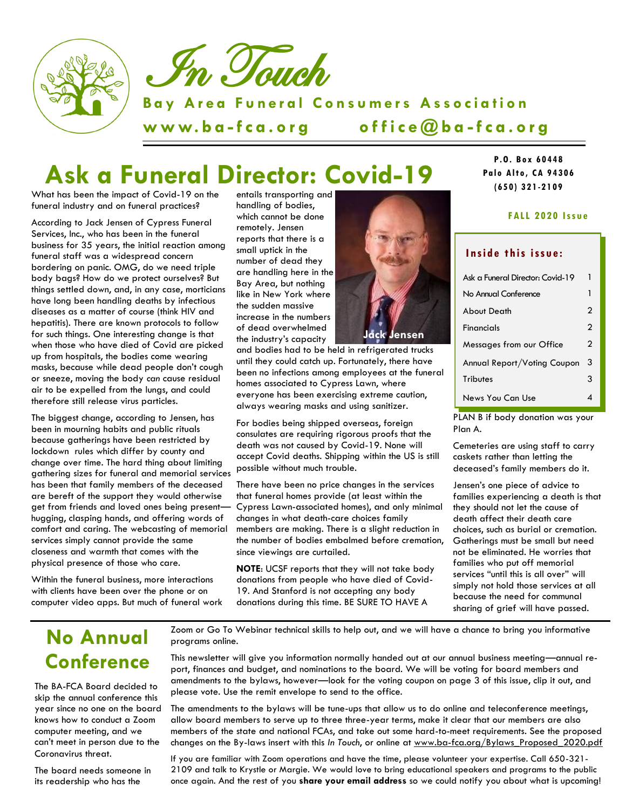

# **Ask a Funeral Director: Covid-19**

What has been the impact of Covid-19 on the funeral industry and on funeral practices?

According to Jack Jensen of Cypress Funeral Services, Inc., who has been in the funeral business for 35 years, the initial reaction among funeral staff was a widespread concern bordering on panic. OMG, do we need triple body bags? How do we protect ourselves? But things settled down, and, in any case, morticians have long been handling deaths by infectious diseases as a matter of course (think HIV and hepatitis). There are known protocols to follow for such things. One interesting change is that when those who have died of Covid are picked up from hospitals, the bodies come wearing masks, because while dead people don't cough or sneeze, moving the body *can* cause residual air to be expelled from the lungs, and could therefore still release virus particles.

The biggest change, according to Jensen, has been in mourning habits and public rituals because gatherings have been restricted by lockdown rules which differ by county and change over time. The hard thing about limiting gathering sizes for funeral and memorial services has been that family members of the deceased are bereft of the support they would otherwise get from friends and loved ones being present hugging, clasping hands, and offering words of comfort and caring. The webcasting of memorial services simply cannot provide the same closeness and warmth that comes with the physical presence of those who care.

Within the funeral business, more interactions with clients have been over the phone or on computer video apps. But much of funeral work

entails transporting and handling of bodies, which cannot be done remotely. Jensen reports that there is a small uptick in the number of dead they are handling here in the Bay Area, but nothing like in New York where the sudden massive increase in the numbers of dead overwhelmed the industry's capacity

**J**ensen

and bodies had to be held in refrigerated trucks until they could catch up. Fortunately, there have been no infections among employees at the funeral homes associated to Cypress Lawn, where everyone has been exercising extreme caution, always wearing masks and using sanitizer.

For bodies being shipped overseas, foreign consulates are requiring rigorous proofs that the death was not caused by Covid-19. None will accept Covid deaths. Shipping within the US is still possible without much trouble.

There have been no price changes in the services that funeral homes provide (at least within the Cypress Lawn-associated homes), and only minimal changes in what death-care choices family members are making. There is a slight reduction in the number of bodies embalmed before cremation, since viewings are curtailed.

**NOTE**: UCSF reports that they will not take body donations from people who have died of Covid-19. And Stanford is not accepting any body donations during this time. BE SURE TO HAVE A



#### **F ALL 2020 Iss ue**

#### Inside this issue:

| Ask a Funeral Director: Covid-19 | 1              |
|----------------------------------|----------------|
| No Annual Conference             | 1              |
| <b>About Death</b>               | $\mathfrak{p}$ |
| <b>Financials</b>                | $\mathbf{c}$   |
| Messages from our Office         | 2              |
| Annual Report/Voting Coupon      | 3              |
| <b>Tributes</b>                  | 3              |
| News You Can Use                 |                |

PLAN B if body donation was your Plan A.

Cemeteries are using staff to carry caskets rather than letting the deceased's family members do it.

Jensen's one piece of advice to families experiencing a death is that they should not let the cause of death affect their death care choices, such as burial or cremation. Gatherings must be small but need not be eliminated. He worries that families who put off memorial services "until this is all over" will simply not hold those services at all because the need for communal sharing of grief will have passed.

### **No Annual Conference**

The BA-FCA Board decided to skip the annual conference this year since no one on the board knows how to conduct a Zoom computer meeting, and we can't meet in person due to the Coronavirus threat.

The board needs someone in its readership who has the

Zoom or Go To Webinar technical skills to help out, and we will have a chance to bring you informative programs online.

This newsletter will give you information normally handed out at our annual business meeting—annual report, finances and budget, and nominations to the board. We will be voting for board members and amendments to the bylaws, however—look for the voting coupon on page 3 of this issue, clip it out, and please vote. Use the remit envelope to send to the office.

The amendments to the bylaws will be tune-ups that allow us to do online and teleconference meetings, allow board members to serve up to three three-year terms, make it clear that our members are also members of the state and national FCAs, and take out some hard-to-meet requirements. See the proposed changes on the By-laws insert with this *In Touch*, or online at www.ba-fca.org/Bylaws\_Proposed\_2020.pdf

If you are familiar with Zoom operations and have the time, please volunteer your expertise. Call 650-321- 2109 and talk to Krystle or Margie. We would love to bring educational speakers and programs to the public once again. And the rest of you **share your email address** so we could notify you about what is upcoming!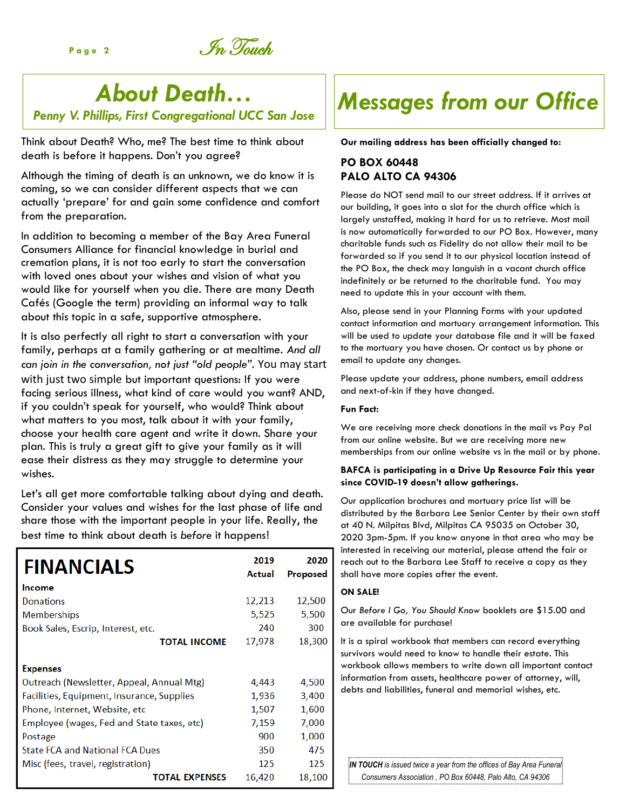Page 2 **In Touch** 

## *About Death…*

*Penny V. Phillips, First Congregational UCC San Jose*

Think about Death? Who, me? The best time to think about death is before it happens. Don't you agree?

Although the timing of death is an unknown, we do know it is coming, so we can consider different aspects that we can actually 'prepare' for and gain some confidence and comfort from the preparation.

In addition to becoming a member of the Bay Area Funeral Consumers Alliance for financial knowledge in burial and cremation plans, it is not too early to start the conversation with loved ones about your wishes and vision of what you would like for yourself when you die. There are many Death Cafés (Google the term) providing an informal way to talk about this topic in a safe, supportive atmosphere.

It is also perfectly all right to start a conversation with your family, perhaps at a family gathering or at mealtime. *And all can join in the conversation, not just "old people".* You may start with just two simple but important questions: If you were facing serious illness, what kind of care would you want? AND, if you couldn't speak for yourself, who would? Think about what matters to you most, talk about it with your family, choose your health care agent and write it down. Share your plan. This is truly a great gift to give your family as it will ease their distress as they may struggle to determine your wishes.

Let's all get more comfortable talking about dying and death. Consider your values and wishes for the last phase of life and share those with the important people in your life. Really, the best time to think about death is *before* it happens!

| <b>FINANCIALS</b>                          | 2019<br>Actual | 2020<br>Proposed |
|--------------------------------------------|----------------|------------------|
| Income                                     |                |                  |
| Donations                                  | 12,213         | 12,500           |
| <b>Memberships</b>                         | 5,525          | 5,500            |
| Book Sales, Escrip, Interest, etc.         | 240            | 300              |
| <b>TOTAL INCOME</b>                        | 17,978         | 18,300           |
| <b>Expenses</b>                            |                |                  |
| Outreach (Newsletter, Appeal, Annual Mtg)  | 4,443          | 4,500            |
| Facilities, Equipment, Insurance, Supplies | 1,936          | 3,400            |
| Phone, Internet, Website, etc              | 1,507          | 1,600            |
| Employee (wages, Fed and State taxes, etc) | 7,159          | 7,000            |
| Postage                                    | 900            | 1,000            |
| <b>State FCA and National FCA Dues</b>     | 350            | 475              |
| Misc (fees, travel, registration)          | 125            | 125              |
| <b>TOTAL EXPENSES</b>                      | 16,420         | 18,100           |

# *Messages from our Office*

**Our mailing address has been officially changed to:** 

### **PO BOX 60448 PALO ALTO CA 94306**

Please do NOT send mail to our street address. If it arrives at our building, it goes into a slot for the church office which is largely unstaffed, making it hard for us to retrieve. Most mail is now automatically forwarded to our PO Box. However, many charitable funds such as Fidelity do not allow their mail to be forwarded so if you send it to our physical location instead of the PO Box, the check may languish in a vacant church office indefinitely or be returned to the charitable fund. You may need to update this in your account with them.

Also, please send in your Planning Forms with your updated contact information and mortuary arrangement information. This will be used to update your database file and it will be faxed to the mortuary you have chosen. Or contact us by phone or email to update any changes.

Please update your address, phone numbers, email address and next-of-kin if they have changed.

#### **Fun Fact:**

We are receiving more check donations in the mail vs Pay Pal from our online website. But we are receiving more new memberships from our online website vs in the mail or by phone.

#### **BAFCA is participating in a Drive Up Resource Fair this year since COVID-19 doesn't allow gatherings.**

Our application brochures and mortuary price list will be distributed by the Barbara Lee Senior Center by their own staff at 40 N. Milpitas Blvd, Milpitas CA 95035 on October 30, 2020 3pm-5pm. If you know anyone in that area who may be interested in receiving our material, please attend the fair or reach out to the Barbara Lee Staff to receive a copy as they shall have more copies after the event.

#### **ON SALE!**

Our *Before I Go, You Should Know* booklets are \$15.00 and are available for purchase!

It is a spiral workbook that members can record everything survivors would need to know to handle their estate. This workbook allows members to write down all important contact information from assets, healthcare power of attorney, will, debts and liabilities, funeral and memorial wishes, etc.

**IN TOUCH** is issued twice a year from the offices of Bay Area Funeral *Consumers Association , PO Box 60448, Palo Alto, CA 94306*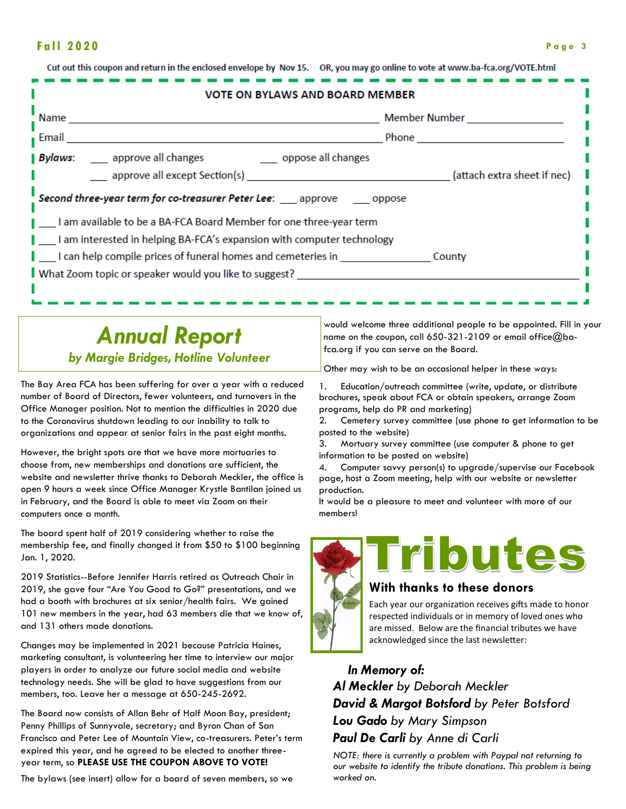#### **F a l l 2 0 2 0 P a g e 3**

| <b>VOTE ON BYLAWS AND BOARD MEMBER</b>                                     |                             |  |  |  |
|----------------------------------------------------------------------------|-----------------------------|--|--|--|
| Name                                                                       | Member Number               |  |  |  |
| ∎ Email                                                                    | <b>Phone</b>                |  |  |  |
| <b>Bylaws:</b> _____ approve all changes ______________ oppose all changes |                             |  |  |  |
| approve all except Section(s)                                              | (attach extra sheet if nec) |  |  |  |
| Second three-year term for co-treasurer Peter Lee: __ approve __ oppose    |                             |  |  |  |
| I am available to be a BA-FCA Board Member for one three-year term         |                             |  |  |  |
| I am interested in helping BA-FCA's expansion with computer technology     |                             |  |  |  |
| I can help compile prices of funeral homes and cemeteries in               | County                      |  |  |  |
| What Zoom topic or speaker would you like to suggest?                      |                             |  |  |  |

### *Annual Report by Margie Bridges, Hotline Volunteer*

Cut out this coupon and raturn in the englocad envelope by Nov 15

The Bay Area FCA has been suffering for over a year with a reduced number of Board of Directors, fewer volunteers, and turnovers in the Office Manager position. Not to mention the difficulties in 2020 due to the Coronavirus shutdown leading to our inability to talk to organizations and appear at senior fairs in the past eight months.

However, the bright spots are that we have more mortuaries to choose from, new memberships and donations are sufficient, the website and newsletter thrive thanks to Deborah Meckler, the office is open 9 hours a week since Office Manager Krystle Bantilan joined us in February, and the Board is able to meet via Zoom on their computers once a month.

The board spent half of 2019 considering whether to raise the membership fee, and finally changed it from \$50 to \$100 beginning Jan. 1, 2020.

2019 Statistics--Before Jennifer Harris retired as Outreach Chair in 2019, she gave four "Are You Good to Go?" presentations, and we had a booth with brochures at six senior/health fairs. We gained 101 new members in the year, had 63 members die that we know of, and 131 others made donations.

Changes may be implemented in 2021 because Patricia Haines, marketing consultant, is volunteering her time to interview our major players in order to analyze our future social media and website technology needs. She will be glad to have suggestions from our members, too. Leave her a message at 650-245-2692.

The Board now consists of Allan Behr of Half Moon Bay, president; Penny Phillips of Sunnyvale, secretary; and Byron Chan of San Francisco and Peter Lee of Mountain View, co-treasurers. Peter's term expired this year, and he agreed to be elected to another threeyear term, so **PLEASE USE THE COUPON ABOVE TO VOTE!**

The bylaws (see insert) allow for a board of seven members, so we

would welcome three additional people to be appointed. Fill in your name on the coupon, call 650-321-2109 or email office@bafca.org if you can serve on the Board.

Other may wish to be an occasional helper in these ways:

OP vou moy go opling to vote at vauw ha fea arg/VOTE html

1. Education/outreach committee (write, update, or distribute brochures, speak about FCA or obtain speakers, arrange Zoom programs, help do PR and marketing)

2. Cemetery survey committee (use phone to get information to be posted to the website)

3. Mortuary survey committee (use computer & phone to get information to be posted on website)

4. Computer savvy person(s) to upgrade/supervise our Facebook page, host a Zoom meeting, help with our website or newsletter production.

It would be a pleasure to meet and volunteer with more of our members!



#### **With thanks to these donors**

Each year our organization receives gifts made to honor respected individuals or in memory of loved ones who are missed. Below are the financial tributes we have acknowledged since the last newsletter:

 *In Memory of: Al Meckler by Deborah Meckler David & Margot Botsford by Peter Botsford Lou Gado by Mary Simpson Paul De Carli by Anne di Carli*

*NOTE: there is currently a problem with Paypal not returning to our website to identify the tribute donations. This problem is being worked on.*